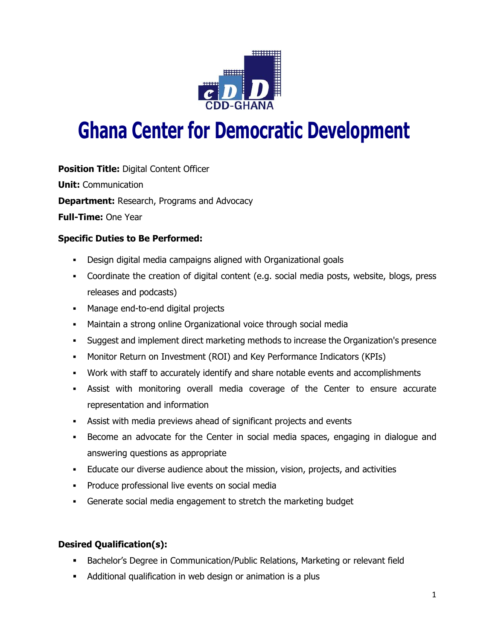

# **Ghana Center for Democratic Development**

**Position Title:** Digital Content Officer

**Unit:** Communication

**Department:** Research, Programs and Advocacy

**Full-Time:** One Year

## **Specific Duties to Be Performed:**

- Design digital media campaigns aligned with Organizational goals
- Coordinate the creation of digital content (e.g. social media posts, website, blogs, press releases and podcasts)
- Manage end-to-end digital projects
- Maintain a strong online Organizational voice through social media
- Suggest and implement direct marketing methods to increase the Organization's presence
- Monitor Return on Investment (ROI) and Key Performance Indicators (KPIs)
- Work with staff to accurately identify and share notable events and accomplishments
- Assist with monitoring overall media coverage of the Center to ensure accurate representation and information
- Assist with media previews ahead of significant projects and events
- Become an advocate for the Center in social media spaces, engaging in dialogue and answering questions as appropriate
- Educate our diverse audience about the mission, vision, projects, and activities
- **Produce professional live events on social media**
- Generate social media engagement to stretch the marketing budget

# **Desired Qualification(s):**

- Bachelor's Degree in Communication/Public Relations, Marketing or relevant field
- Additional qualification in web design or animation is a plus